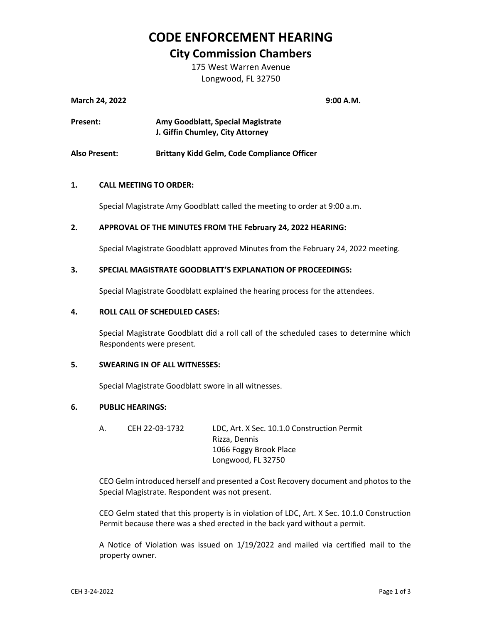# **CODE ENFORCEMENT HEARING**

# **City Commission Chambers**

175 West Warren Avenue Longwood, FL 32750

| <b>March 24, 2022</b> |                                   | 9:00 A.M. |
|-----------------------|-----------------------------------|-----------|
| Present:              | Amy Goodblatt, Special Magistrate |           |
|                       | J. Giffin Chumley, City Attorney  |           |

**Also Present: Brittany Kidd Gelm, Code Compliance Officer**

### **1. CALL MEETING TO ORDER:**

Special Magistrate Amy Goodblatt called the meeting to order at 9:00 a.m.

### **2. APPROVAL OF THE MINUTES FROM THE February 24, 2022 HEARING:**

Special Magistrate Goodblatt approved Minutes from the February 24, 2022 meeting.

### **3. SPECIAL MAGISTRATE GOODBLATT'S EXPLANATION OF PROCEEDINGS:**

Special Magistrate Goodblatt explained the hearing process for the attendees.

#### **4. ROLL CALL OF SCHEDULED CASES:**

Special Magistrate Goodblatt did a roll call of the scheduled cases to determine which Respondents were present.

### **5. SWEARING IN OF ALL WITNESSES:**

Special Magistrate Goodblatt swore in all witnesses.

### **6. PUBLIC HEARINGS:**

A. CEH 22-03-1732 LDC, Art. X Sec. 10.1.0 Construction Permit Rizza, Dennis 1066 Foggy Brook Place Longwood, FL 32750

CEO Gelm introduced herself and presented a Cost Recovery document and photos to the Special Magistrate. Respondent was not present.

CEO Gelm stated that this property is in violation of LDC, Art. X Sec. 10.1.0 Construction Permit because there was a shed erected in the back yard without a permit.

A Notice of Violation was issued on 1/19/2022 and mailed via certified mail to the property owner.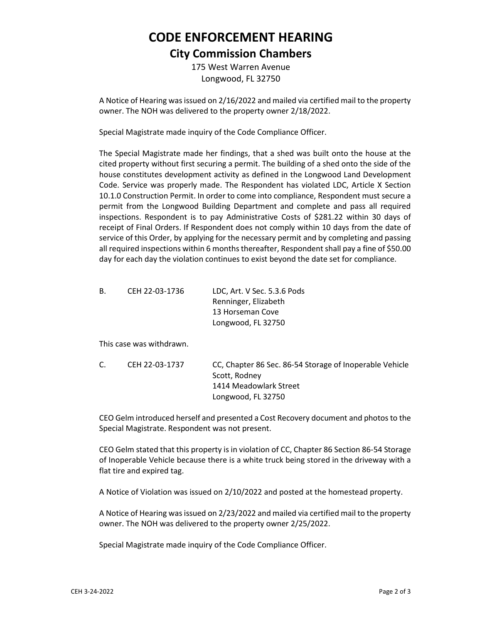# **CODE ENFORCEMENT HEARING City Commission Chambers**

175 West Warren Avenue Longwood, FL 32750

A Notice of Hearing was issued on 2/16/2022 and mailed via certified mail to the property owner. The NOH was delivered to the property owner 2/18/2022.

Special Magistrate made inquiry of the Code Compliance Officer.

The Special Magistrate made her findings, that a shed was built onto the house at the cited property without first securing a permit. The building of a shed onto the side of the house constitutes development activity as defined in the Longwood Land Development Code. Service was properly made. The Respondent has violated LDC, Article X Section 10.1.0 Construction Permit. In order to come into compliance, Respondent must secure a permit from the Longwood Building Department and complete and pass all required inspections. Respondent is to pay Administrative Costs of \$281.22 within 30 days of receipt of Final Orders. If Respondent does not comply within 10 days from the date of service of this Order, by applying for the necessary permit and by completing and passing all required inspections within 6 months thereafter, Respondent shall pay a fine of \$50.00 day for each day the violation continues to exist beyond the date set for compliance.

| В. | CEH 22-03-1736 | LDC, Art. V Sec. 5.3.6 Pods |
|----|----------------|-----------------------------|
|    |                | Renninger, Elizabeth        |
|    |                | 13 Horseman Cove            |
|    |                | Longwood, FL 32750          |

This case was withdrawn.

| C. | CEH 22-03-1737 | CC, Chapter 86 Sec. 86-54 Storage of Inoperable Vehicle |
|----|----------------|---------------------------------------------------------|
|    |                | Scott, Rodney                                           |
|    |                | 1414 Meadowlark Street                                  |
|    |                | Longwood, FL 32750                                      |

CEO Gelm introduced herself and presented a Cost Recovery document and photos to the Special Magistrate. Respondent was not present.

CEO Gelm stated that this property is in violation of CC, Chapter 86 Section 86-54 Storage of Inoperable Vehicle because there is a white truck being stored in the driveway with a flat tire and expired tag.

A Notice of Violation was issued on 2/10/2022 and posted at the homestead property.

A Notice of Hearing was issued on 2/23/2022 and mailed via certified mail to the property owner. The NOH was delivered to the property owner 2/25/2022.

Special Magistrate made inquiry of the Code Compliance Officer.